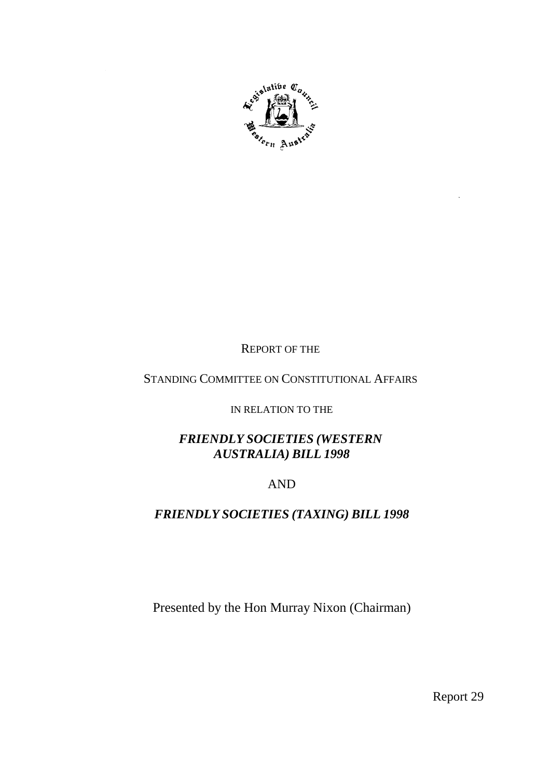

## REPORT OF THE

## STANDING COMMITTEE ON CONSTITUTIONAL AFFAIRS

IN RELATION TO THE

## *FRIENDLY SOCIETIES (WESTERN AUSTRALIA) BILL 1998*

## AND

## *FRIENDLY SOCIETIES (TAXING) BILL 1998*

Presented by the Hon Murray Nixon (Chairman)

Report 29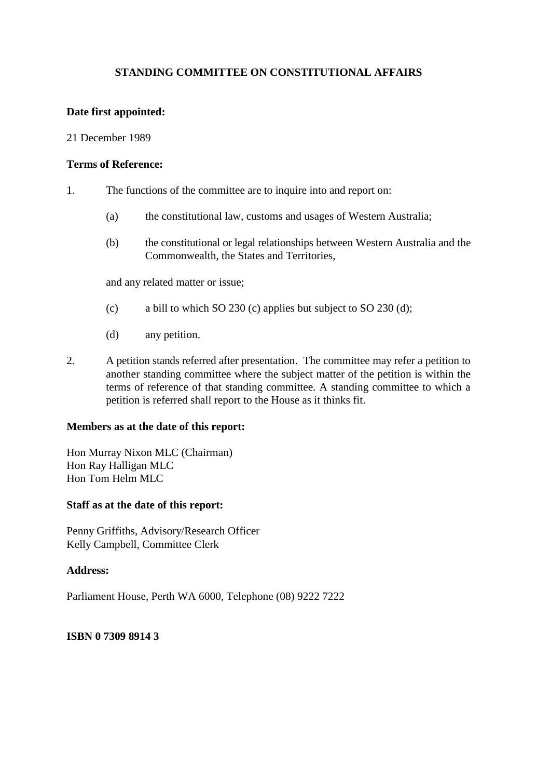#### **Date first appointed:**

#### 21 December 1989

#### **Terms of Reference:**

- 1. The functions of the committee are to inquire into and report on:
	- (a) the constitutional law, customs and usages of Western Australia;
	- (b) the constitutional or legal relationships between Western Australia and the Commonwealth, the States and Territories,

and any related matter or issue;

- (c) a bill to which SO 230 (c) applies but subject to SO 230 (d);
- (d) any petition.
- 2. A petition stands referred after presentation. The committee may refer a petition to another standing committee where the subject matter of the petition is within the terms of reference of that standing committee. A standing committee to which a petition is referred shall report to the House as it thinks fit.

#### **Members as at the date of this report:**

Hon Murray Nixon MLC (Chairman) Hon Ray Halligan MLC Hon Tom Helm MLC

#### **Staff as at the date of this report:**

Penny Griffiths, Advisory/Research Officer Kelly Campbell, Committee Clerk

#### **Address:**

Parliament House, Perth WA 6000, Telephone (08) 9222 7222

#### **ISBN 0 7309 8914 3**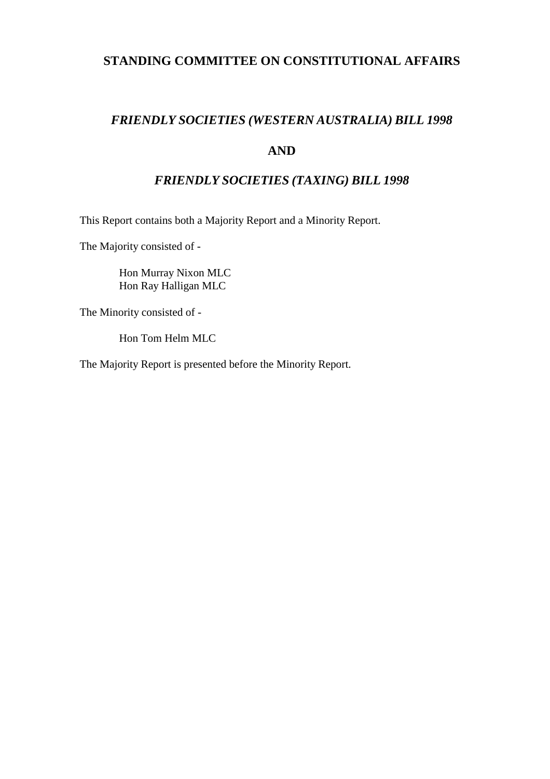## *FRIENDLY SOCIETIES (WESTERN AUSTRALIA) BILL 1998*

## **AND**

## *FRIENDLY SOCIETIES (TAXING) BILL 1998*

This Report contains both a Majority Report and a Minority Report.

The Majority consisted of -

Hon Murray Nixon MLC Hon Ray Halligan MLC

The Minority consisted of -

Hon Tom Helm MLC

The Majority Report is presented before the Minority Report.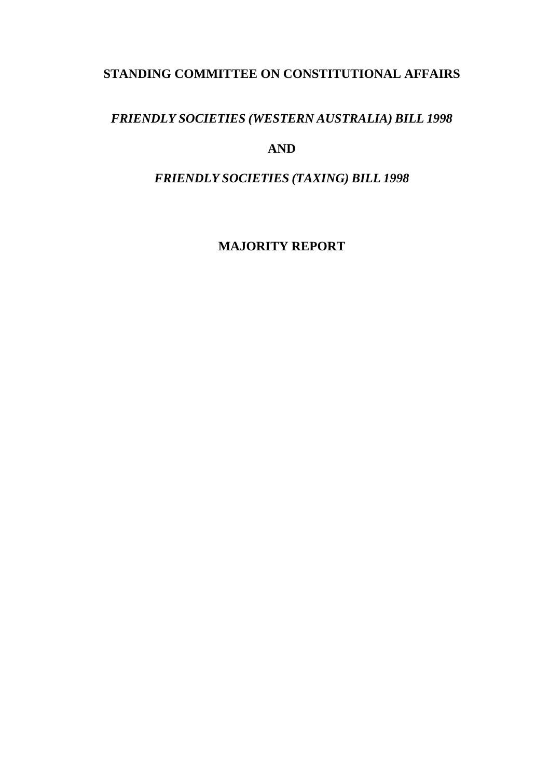## *FRIENDLY SOCIETIES (WESTERN AUSTRALIA) BILL 1998*

## **AND**

*FRIENDLY SOCIETIES (TAXING) BILL 1998*

**MAJORITY REPORT**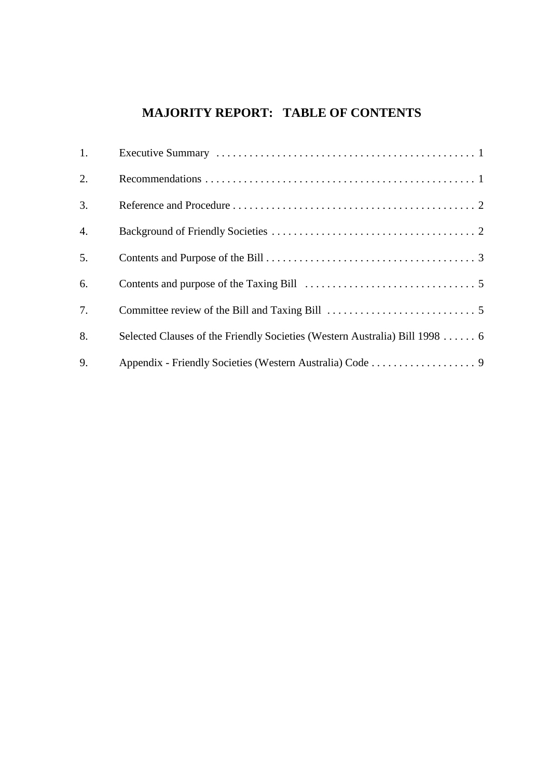# **MAJORITY REPORT: TABLE OF CONTENTS**

| 1.               |                                                                             |  |
|------------------|-----------------------------------------------------------------------------|--|
| 2.               |                                                                             |  |
| 3.               |                                                                             |  |
| $\overline{4}$ . |                                                                             |  |
| 5.               |                                                                             |  |
| 6.               |                                                                             |  |
| 7.               |                                                                             |  |
| 8.               | Selected Clauses of the Friendly Societies (Western Australia) Bill 1998  6 |  |
| 9.               |                                                                             |  |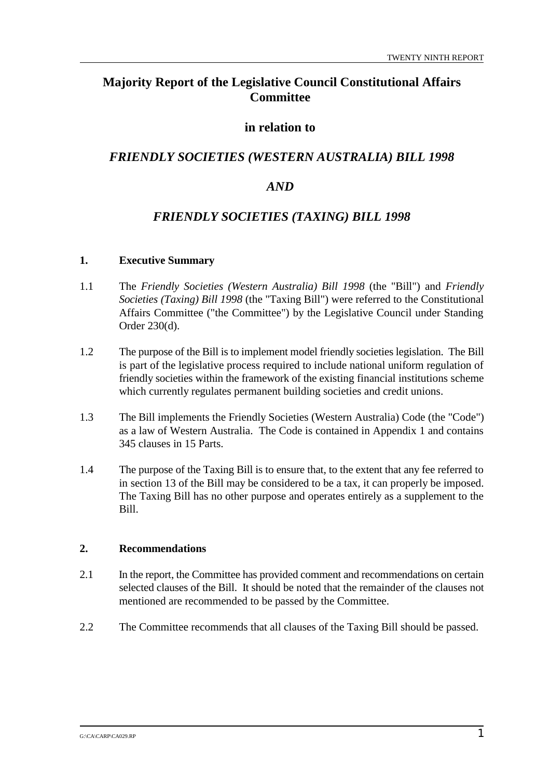## **Majority Report of the Legislative Council Constitutional Affairs Committee**

## **in relation to**

## *FRIENDLY SOCIETIES (WESTERN AUSTRALIA) BILL 1998*

## *AND*

## *FRIENDLY SOCIETIES (TAXING) BILL 1998*

#### **1. Executive Summary**

- 1.1 The *Friendly Societies (Western Australia) Bill 1998* (the "Bill") and *Friendly Societies (Taxing) Bill 1998* (the "Taxing Bill") were referred to the Constitutional Affairs Committee ("the Committee") by the Legislative Council under Standing Order 230(d).
- 1.2 The purpose of the Bill is to implement model friendly societies legislation. The Bill is part of the legislative process required to include national uniform regulation of friendly societies within the framework of the existing financial institutions scheme which currently regulates permanent building societies and credit unions.
- 1.3 The Bill implements the Friendly Societies (Western Australia) Code (the "Code") as a law of Western Australia. The Code is contained in Appendix 1 and contains 345 clauses in 15 Parts.
- 1.4 The purpose of the Taxing Bill is to ensure that, to the extent that any fee referred to in section 13 of the Bill may be considered to be a tax, it can properly be imposed. The Taxing Bill has no other purpose and operates entirely as a supplement to the Bill.

#### **2. Recommendations**

- 2.1 In the report, the Committee has provided comment and recommendations on certain selected clauses of the Bill. It should be noted that the remainder of the clauses not mentioned are recommended to be passed by the Committee.
- 2.2 The Committee recommends that all clauses of the Taxing Bill should be passed.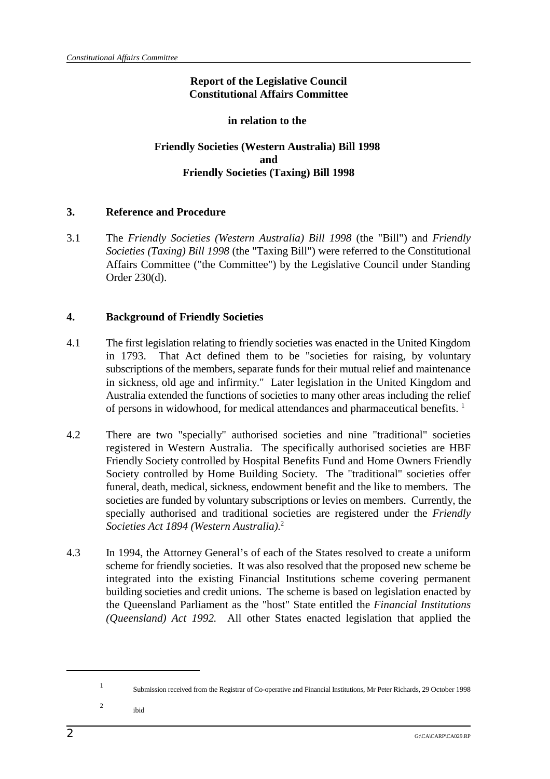## **Report of the Legislative Council Constitutional Affairs Committee**

#### **in relation to the**

## **Friendly Societies (Western Australia) Bill 1998 and Friendly Societies (Taxing) Bill 1998**

#### **3. Reference and Procedure**

3.1 The *Friendly Societies (Western Australia) Bill 1998* (the "Bill") and *Friendly Societies (Taxing) Bill 1998* (the "Taxing Bill") were referred to the Constitutional Affairs Committee ("the Committee") by the Legislative Council under Standing Order 230(d).

#### **4. Background of Friendly Societies**

- 4.1 The first legislation relating to friendly societies was enacted in the United Kingdom in 1793. That Act defined them to be "societies for raising, by voluntary subscriptions of the members, separate funds for their mutual relief and maintenance in sickness, old age and infirmity." Later legislation in the United Kingdom and Australia extended the functions of societies to many other areas including the relief of persons in widowhood, for medical attendances and pharmaceutical benefits.<sup>1</sup>
- 4.2 There are two "specially" authorised societies and nine "traditional" societies registered in Western Australia. The specifically authorised societies are HBF Friendly Society controlled by Hospital Benefits Fund and Home Owners Friendly Society controlled by Home Building Society. The "traditional" societies offer funeral, death, medical, sickness, endowment benefit and the like to members. The societies are funded by voluntary subscriptions or levies on members. Currently, the specially authorised and traditional societies are registered under the *Friendly Societies Act 1894 (Western Australia).*<sup>2</sup>
- 4.3 In 1994, the Attorney General's of each of the States resolved to create a uniform scheme for friendly societies. It was also resolved that the proposed new scheme be integrated into the existing Financial Institutions scheme covering permanent building societies and credit unions. The scheme is based on legislation enacted by the Queensland Parliament as the "host" State entitled the *Financial Institutions (Queensland) Act 1992.* All other States enacted legislation that applied the

Submission received from the Registrar of Co-operative and Financial Institutions, Mr Peter Richards, 29 October 1998 <sup>1</sup>

 $\frac{2}{\mathrm{ibid}}$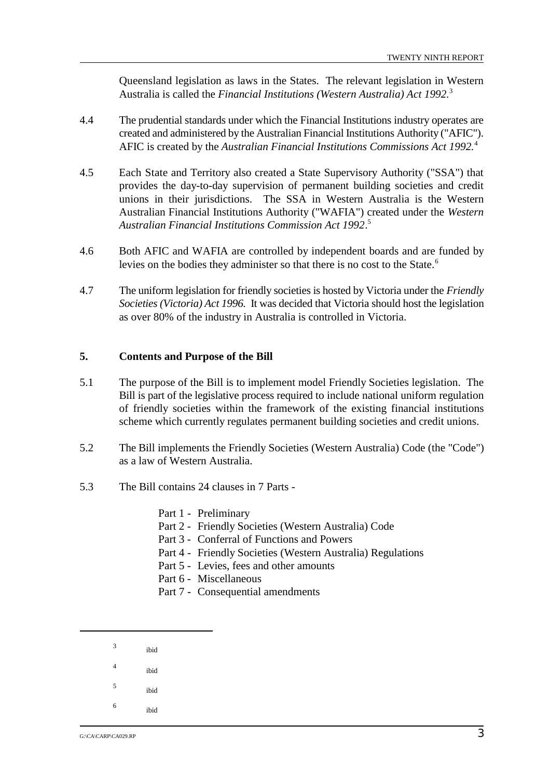Queensland legislation as laws in the States. The relevant legislation in Western Australia is called the *Financial Institutions (Western Australia) Act 1992.*<sup>3</sup>

- 4.4 The prudential standards under which the Financial Institutions industry operates are created and administered by the Australian Financial Institutions Authority ("AFIC"). AFIC is created by the *Australian Financial Institutions Commissions Act 1992.*<sup>4</sup>
- 4.5 Each State and Territory also created a State Supervisory Authority ("SSA") that provides the day-to-day supervision of permanent building societies and credit unions in their jurisdictions. The SSA in Western Australia is the Western Australian Financial Institutions Authority ("WAFIA") created under the *Western Australian Financial Institutions Commission Act 1992*. 5
- 4.6 Both AFIC and WAFIA are controlled by independent boards and are funded by levies on the bodies they administer so that there is no cost to the State. 6
- 4.7 The uniform legislation for friendly societies is hosted by Victoria under the *Friendly Societies (Victoria) Act 1996.* It was decided that Victoria should host the legislation as over 80% of the industry in Australia is controlled in Victoria.

#### **5. Contents and Purpose of the Bill**

- 5.1 The purpose of the Bill is to implement model Friendly Societies legislation. The Bill is part of the legislative process required to include national uniform regulation of friendly societies within the framework of the existing financial institutions scheme which currently regulates permanent building societies and credit unions.
- 5.2 The Bill implements the Friendly Societies (Western Australia) Code (the "Code") as a law of Western Australia.
- 5.3 The Bill contains 24 clauses in 7 Parts
	- Part 1 Preliminary
	- Part 2 Friendly Societies (Western Australia) Code
	- Part 3 Conferral of Functions and Powers
	- Part 4 Friendly Societies (Western Australia) Regulations
	- Part 5 Levies, fees and other amounts
	- Part 6 Miscellaneous
	- Part 7 Consequential amendments
	- $3$  ibid
	- $\frac{4}{100}$  ibid
	-
	- $5$  ibid
	- $\frac{6}{100}$  ibid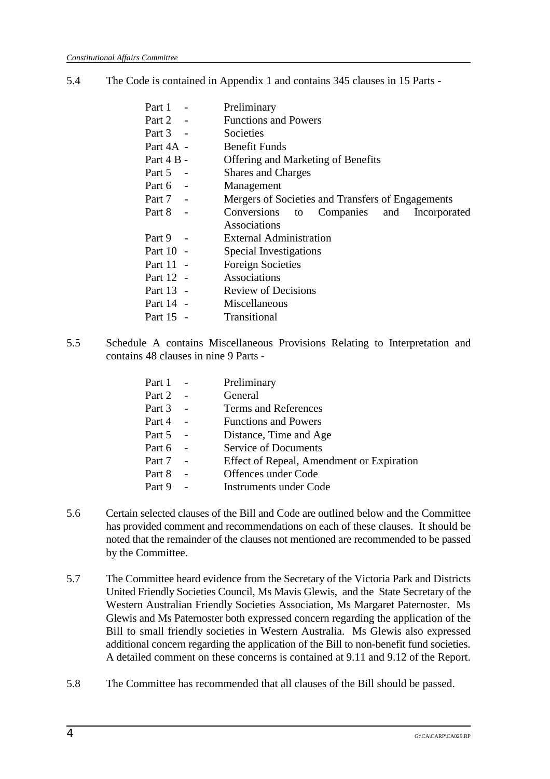- 5.4 The Code is contained in Appendix 1 and contains 345 clauses in 15 Parts
	- Part 1 Preliminary
	- Part 2 Functions and Powers
	- Part 3 Societies
	- Part 4A Benefit Funds
	- Part 4 B Offering and Marketing of Benefits
	- Part 5 Shares and Charges
	- Part 6 Management
	- Part 7 Mergers of Societies and Transfers of Engagements
	- Part 8 Conversions to Companies and Incorporated Associations
	- Part 9 External Administration
	- Part 10 Special Investigations
	- Part 11 Foreign Societies
	- Part 12 Associations
	- Part 13 Review of Decisions
	- Part 14 Miscellaneous
	- Part 15 Transitional
- 5.5 Schedule A contains Miscellaneous Provisions Relating to Interpretation and contains 48 clauses in nine 9 Parts -

| Part 1 |        | Preliminary                               |
|--------|--------|-------------------------------------------|
| Part 2 | $\sim$ | General                                   |
| Part 3 |        | Terms and References                      |
| Part 4 |        | <b>Functions and Powers</b>               |
| Part 5 |        | Distance, Time and Age                    |
| Part 6 |        | <b>Service of Documents</b>               |
| Part 7 |        | Effect of Repeal, Amendment or Expiration |
| Part 8 |        | Offences under Code                       |
| Part 9 |        | <b>Instruments under Code</b>             |
|        |        |                                           |

- 5.6 Certain selected clauses of the Bill and Code are outlined below and the Committee has provided comment and recommendations on each of these clauses. It should be noted that the remainder of the clauses not mentioned are recommended to be passed by the Committee.
- 5.7 The Committee heard evidence from the Secretary of the Victoria Park and Districts United Friendly Societies Council, Ms Mavis Glewis, and the State Secretary of the Western Australian Friendly Societies Association, Ms Margaret Paternoster. Ms Glewis and Ms Paternoster both expressed concern regarding the application of the Bill to small friendly societies in Western Australia. Ms Glewis also expressed additional concern regarding the application of the Bill to non-benefit fund societies. A detailed comment on these concerns is contained at 9.11 and 9.12 of the Report.
- 5.8 The Committee has recommended that all clauses of the Bill should be passed.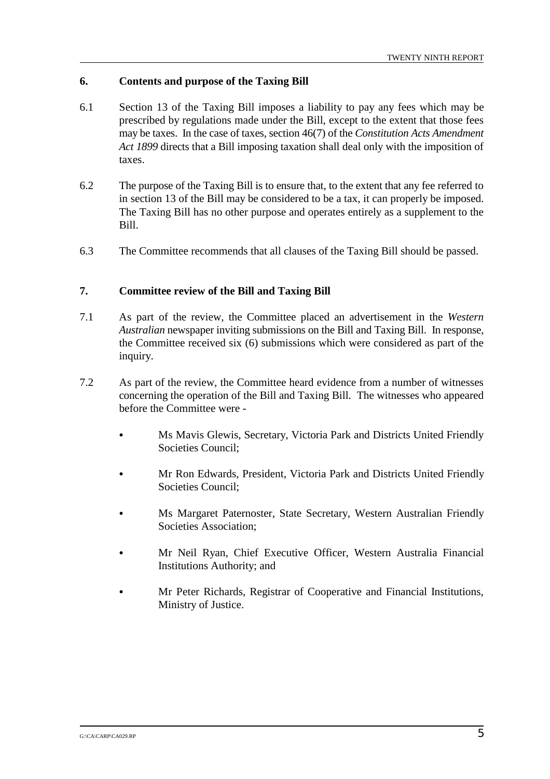#### **6. Contents and purpose of the Taxing Bill**

- 6.1 Section 13 of the Taxing Bill imposes a liability to pay any fees which may be prescribed by regulations made under the Bill, except to the extent that those fees may be taxes. In the case of taxes, section 46(7) of the *Constitution Acts Amendment Act 1899* directs that a Bill imposing taxation shall deal only with the imposition of taxes.
- 6.2 The purpose of the Taxing Bill is to ensure that, to the extent that any fee referred to in section 13 of the Bill may be considered to be a tax, it can properly be imposed. The Taxing Bill has no other purpose and operates entirely as a supplement to the Bill.
- 6.3 The Committee recommends that all clauses of the Taxing Bill should be passed.

#### **7. Committee review of the Bill and Taxing Bill**

- 7.1 As part of the review, the Committee placed an advertisement in the *Western Australian* newspaper inviting submissions on the Bill and Taxing Bill. In response, the Committee received six (6) submissions which were considered as part of the inquiry.
- 7.2 As part of the review, the Committee heard evidence from a number of witnesses concerning the operation of the Bill and Taxing Bill. The witnesses who appeared before the Committee were -
	- & Ms Mavis Glewis, Secretary, Victoria Park and Districts United Friendly Societies Council;
	- & Mr Ron Edwards, President, Victoria Park and Districts United Friendly Societies Council;
	- & Ms Margaret Paternoster, State Secretary, Western Australian Friendly Societies Association;
	- & Mr Neil Ryan, Chief Executive Officer, Western Australia Financial Institutions Authority; and
	- & Mr Peter Richards, Registrar of Cooperative and Financial Institutions, Ministry of Justice.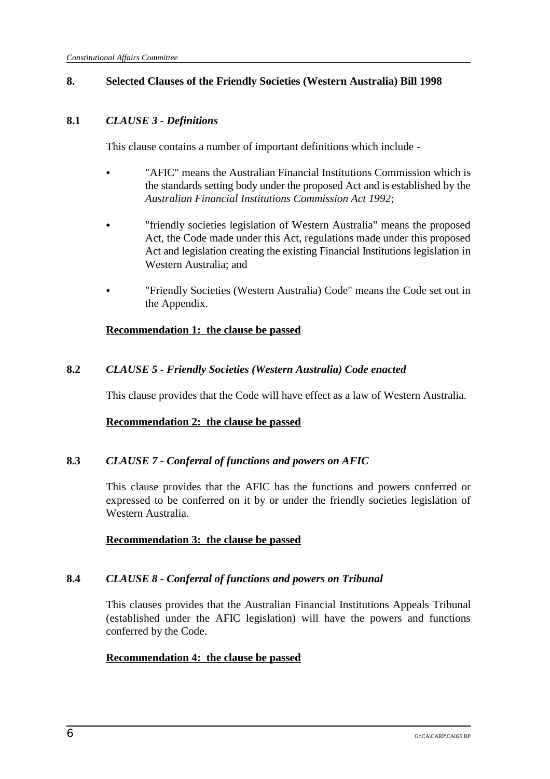### **8. Selected Clauses of the Friendly Societies (Western Australia) Bill 1998**

#### **8.1** *CLAUSE 3 - Definitions*

This clause contains a number of important definitions which include -

- "AFIC" means the Australian Financial Institutions Commission which is the standards setting body under the proposed Act and is established by the *Australian Financial Institutions Commission Act 1992*;
- & "friendly societies legislation of Western Australia" means the proposed Act, the Code made under this Act, regulations made under this proposed Act and legislation creating the existing Financial Institutions legislation in Western Australia; and
- & "Friendly Societies (Western Australia) Code" means the Code set out in the Appendix.

#### **Recommendation 1: the clause be passed**

### **8.2** *CLAUSE 5 - Friendly Societies (Western Australia) Code enacted*

This clause provides that the Code will have effect as a law of Western Australia.

#### **Recommendation 2: the clause be passed**

### **8.3** *CLAUSE 7 - Conferral of functions and powers on AFIC*

This clause provides that the AFIC has the functions and powers conferred or expressed to be conferred on it by or under the friendly societies legislation of Western Australia.

#### **Recommendation 3: the clause be passed**

### **8.4** *CLAUSE 8 - Conferral of functions and powers on Tribunal*

This clauses provides that the Australian Financial Institutions Appeals Tribunal (established under the AFIC legislation) will have the powers and functions conferred by the Code.

### **Recommendation 4: the clause be passed**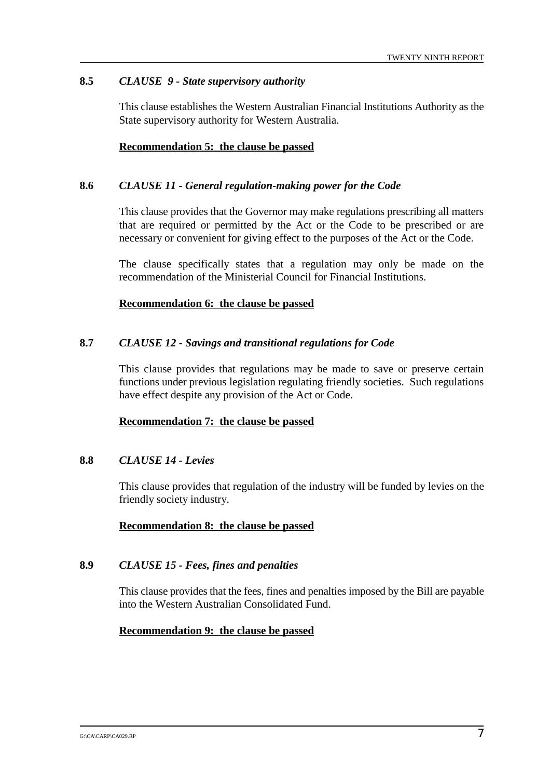#### **8.5** *CLAUSE 9 - State supervisory authority*

This clause establishes the Western Australian Financial Institutions Authority as the State supervisory authority for Western Australia.

#### **Recommendation 5: the clause be passed**

#### **8.6** *CLAUSE 11 - General regulation-making power for the Code*

This clause provides that the Governor may make regulations prescribing all matters that are required or permitted by the Act or the Code to be prescribed or are necessary or convenient for giving effect to the purposes of the Act or the Code.

The clause specifically states that a regulation may only be made on the recommendation of the Ministerial Council for Financial Institutions.

#### **Recommendation 6: the clause be passed**

#### **8.7** *CLAUSE 12 - Savings and transitional regulations for Code*

This clause provides that regulations may be made to save or preserve certain functions under previous legislation regulating friendly societies. Such regulations have effect despite any provision of the Act or Code.

#### **Recommendation 7: the clause be passed**

#### **8.8** *CLAUSE 14 - Levies*

This clause provides that regulation of the industry will be funded by levies on the friendly society industry.

#### **Recommendation 8: the clause be passed**

#### **8.9** *CLAUSE 15 - Fees, fines and penalties*

This clause provides that the fees, fines and penalties imposed by the Bill are payable into the Western Australian Consolidated Fund.

#### **Recommendation 9: the clause be passed**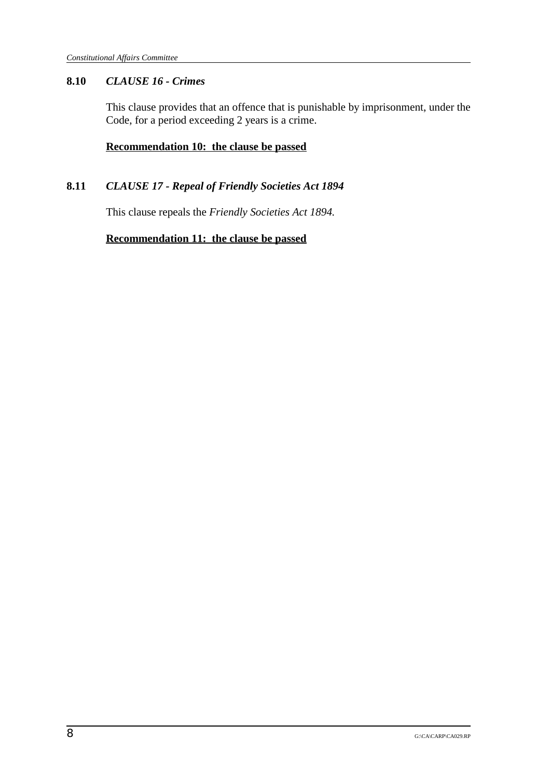### **8.10** *CLAUSE 16 - Crimes*

This clause provides that an offence that is punishable by imprisonment, under the Code, for a period exceeding 2 years is a crime.

### **Recommendation 10: the clause be passed**

### **8.11** *CLAUSE 17 - Repeal of Friendly Societies Act 1894*

This clause repeals the *Friendly Societies Act 1894.*

**Recommendation 11: the clause be passed**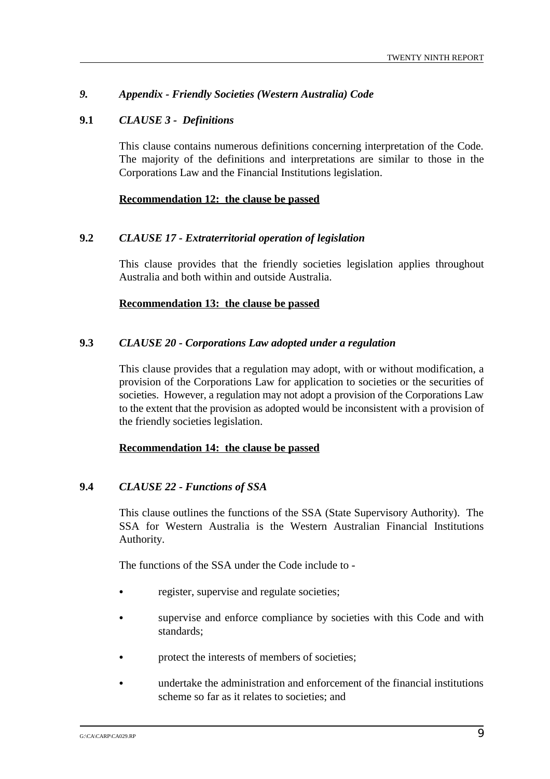### *9. Appendix - Friendly Societies (Western Australia) Code*

#### **9.1** *CLAUSE 3 - Definitions*

This clause contains numerous definitions concerning interpretation of the Code. The majority of the definitions and interpretations are similar to those in the Corporations Law and the Financial Institutions legislation.

#### **Recommendation 12: the clause be passed**

#### **9.2** *CLAUSE 17 - Extraterritorial operation of legislation*

This clause provides that the friendly societies legislation applies throughout Australia and both within and outside Australia.

#### **Recommendation 13: the clause be passed**

#### **9.3** *CLAUSE 20 - Corporations Law adopted under a regulation*

This clause provides that a regulation may adopt, with or without modification, a provision of the Corporations Law for application to societies or the securities of societies. However, a regulation may not adopt a provision of the Corporations Law to the extent that the provision as adopted would be inconsistent with a provision of the friendly societies legislation.

#### **Recommendation 14: the clause be passed**

#### **9.4** *CLAUSE 22 - Functions of SSA*

This clause outlines the functions of the SSA (State Supervisory Authority). The SSA for Western Australia is the Western Australian Financial Institutions Authority.

The functions of the SSA under the Code include to -

- & register, supervise and regulate societies;
- supervise and enforce compliance by societies with this Code and with standards;
- & protect the interests of members of societies;
- & undertake the administration and enforcement of the financial institutions scheme so far as it relates to societies; and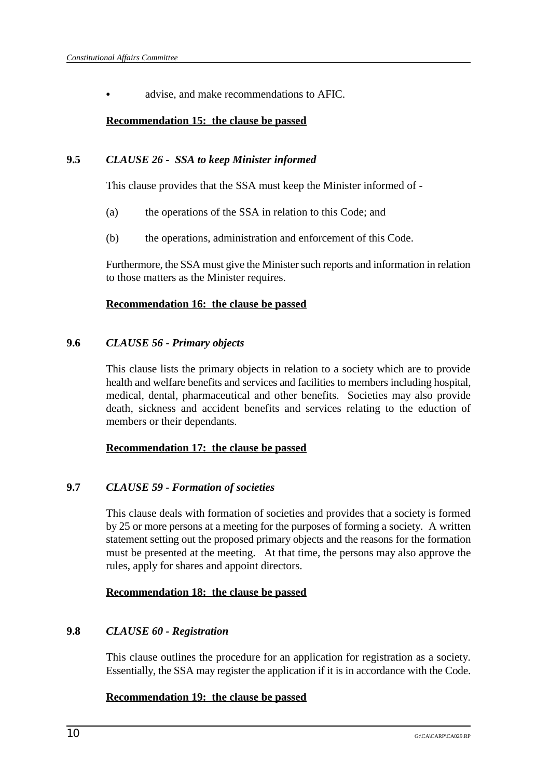advise, and make recommendations to AFIC.

### **Recommendation 15: the clause be passed**

### **9.5** *CLAUSE 26 - SSA to keep Minister informed*

This clause provides that the SSA must keep the Minister informed of -

- (a) the operations of the SSA in relation to this Code; and
- (b) the operations, administration and enforcement of this Code.

Furthermore, the SSA must give the Minister such reports and information in relation to those matters as the Minister requires.

#### **Recommendation 16: the clause be passed**

#### **9.6** *CLAUSE 56 - Primary objects*

This clause lists the primary objects in relation to a society which are to provide health and welfare benefits and services and facilities to members including hospital, medical, dental, pharmaceutical and other benefits. Societies may also provide death, sickness and accident benefits and services relating to the eduction of members or their dependants.

#### **Recommendation 17: the clause be passed**

### **9.7** *CLAUSE 59 - Formation of societies*

This clause deals with formation of societies and provides that a society is formed by 25 or more persons at a meeting for the purposes of forming a society. A written statement setting out the proposed primary objects and the reasons for the formation must be presented at the meeting. At that time, the persons may also approve the rules, apply for shares and appoint directors.

#### **Recommendation 18: the clause be passed**

### **9.8** *CLAUSE 60 - Registration*

This clause outlines the procedure for an application for registration as a society. Essentially, the SSA may register the application if it is in accordance with the Code.

### **Recommendation 19: the clause be passed**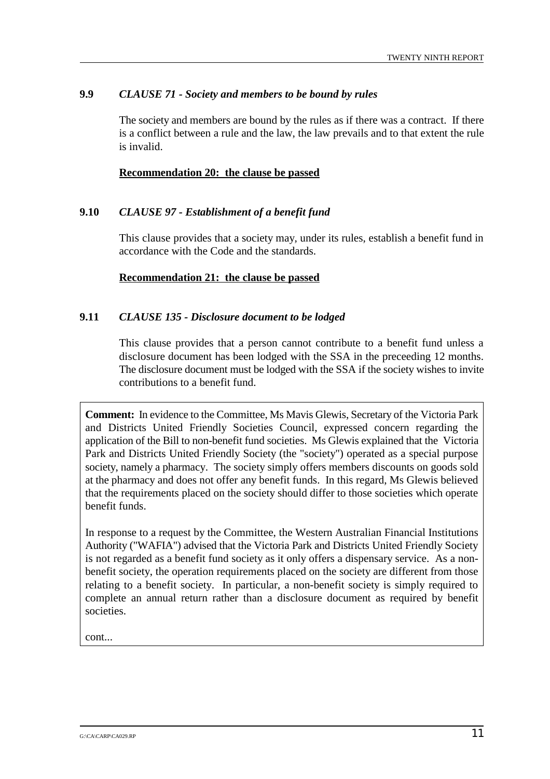#### **9.9** *CLAUSE 71 - Society and members to be bound by rules*

The society and members are bound by the rules as if there was a contract. If there is a conflict between a rule and the law, the law prevails and to that extent the rule is invalid.

#### **Recommendation 20: the clause be passed**

#### **9.10** *CLAUSE 97 - Establishment of a benefit fund*

This clause provides that a society may, under its rules, establish a benefit fund in accordance with the Code and the standards.

#### **Recommendation 21: the clause be passed**

#### **9.11** *CLAUSE 135 - Disclosure document to be lodged*

This clause provides that a person cannot contribute to a benefit fund unless a disclosure document has been lodged with the SSA in the preceeding 12 months. The disclosure document must be lodged with the SSA if the society wishes to invite contributions to a benefit fund.

**Comment:** In evidence to the Committee, Ms Mavis Glewis, Secretary of the Victoria Park and Districts United Friendly Societies Council, expressed concern regarding the application of the Bill to non-benefit fund societies. Ms Glewis explained that the Victoria Park and Districts United Friendly Society (the "society") operated as a special purpose society, namely a pharmacy. The society simply offers members discounts on goods sold at the pharmacy and does not offer any benefit funds. In this regard, Ms Glewis believed that the requirements placed on the society should differ to those societies which operate benefit funds.

In response to a request by the Committee, the Western Australian Financial Institutions Authority ("WAFIA") advised that the Victoria Park and Districts United Friendly Society is not regarded as a benefit fund society as it only offers a dispensary service. As a nonbenefit society, the operation requirements placed on the society are different from those relating to a benefit society. In particular, a non-benefit society is simply required to complete an annual return rather than a disclosure document as required by benefit societies.

cont...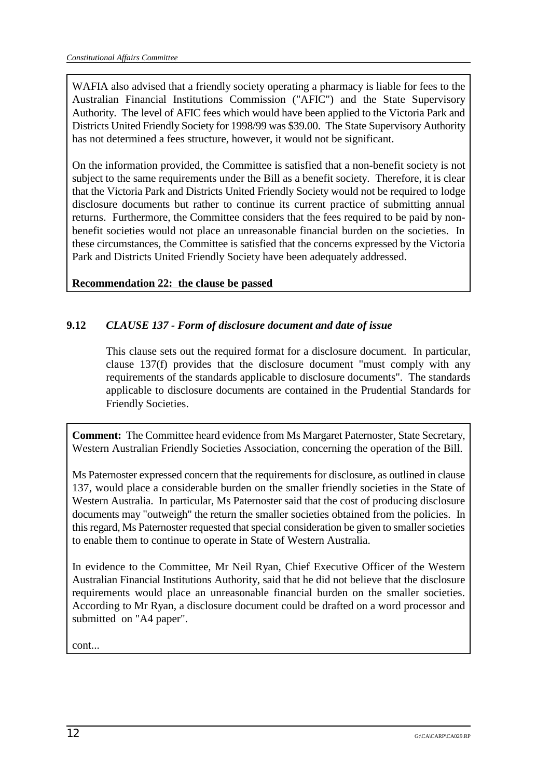WAFIA also advised that a friendly society operating a pharmacy is liable for fees to the Australian Financial Institutions Commission ("AFIC") and the State Supervisory Authority. The level of AFIC fees which would have been applied to the Victoria Park and Districts United Friendly Society for 1998/99 was \$39.00. The State Supervisory Authority has not determined a fees structure, however, it would not be significant.

On the information provided, the Committee is satisfied that a non-benefit society is not subject to the same requirements under the Bill as a benefit society. Therefore, it is clear that the Victoria Park and Districts United Friendly Society would not be required to lodge disclosure documents but rather to continue its current practice of submitting annual returns. Furthermore, the Committee considers that the fees required to be paid by nonbenefit societies would not place an unreasonable financial burden on the societies. In these circumstances, the Committee is satisfied that the concerns expressed by the Victoria Park and Districts United Friendly Society have been adequately addressed.

**Recommendation 22: the clause be passed**

## **9.12** *CLAUSE 137 - Form of disclosure document and date of issue*

This clause sets out the required format for a disclosure document. In particular, clause 137(f) provides that the disclosure document "must comply with any requirements of the standards applicable to disclosure documents". The standards applicable to disclosure documents are contained in the Prudential Standards for Friendly Societies.

**Comment:** The Committee heard evidence from Ms Margaret Paternoster, State Secretary, Western Australian Friendly Societies Association, concerning the operation of the Bill.

Ms Paternoster expressed concern that the requirements for disclosure, as outlined in clause 137, would place a considerable burden on the smaller friendly societies in the State of Western Australia. In particular, Ms Paternoster said that the cost of producing disclosure documents may "outweigh" the return the smaller societies obtained from the policies. In this regard, Ms Paternoster requested that special consideration be given to smaller societies to enable them to continue to operate in State of Western Australia.

In evidence to the Committee, Mr Neil Ryan, Chief Executive Officer of the Western Australian Financial Institutions Authority, said that he did not believe that the disclosure requirements would place an unreasonable financial burden on the smaller societies. According to Mr Ryan, a disclosure document could be drafted on a word processor and submitted on "A4 paper".

cont...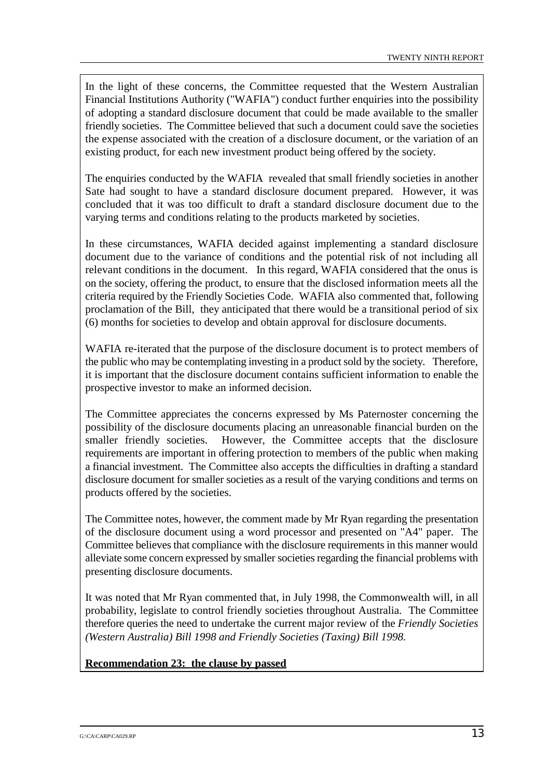In the light of these concerns, the Committee requested that the Western Australian Financial Institutions Authority ("WAFIA") conduct further enquiries into the possibility of adopting a standard disclosure document that could be made available to the smaller friendly societies. The Committee believed that such a document could save the societies the expense associated with the creation of a disclosure document, or the variation of an existing product, for each new investment product being offered by the society.

The enquiries conducted by the WAFIA revealed that small friendly societies in another Sate had sought to have a standard disclosure document prepared. However, it was concluded that it was too difficult to draft a standard disclosure document due to the varying terms and conditions relating to the products marketed by societies.

In these circumstances, WAFIA decided against implementing a standard disclosure document due to the variance of conditions and the potential risk of not including all relevant conditions in the document. In this regard, WAFIA considered that the onus is on the society, offering the product, to ensure that the disclosed information meets all the criteria required by the Friendly Societies Code. WAFIA also commented that, following proclamation of the Bill, they anticipated that there would be a transitional period of six (6) months for societies to develop and obtain approval for disclosure documents.

WAFIA re-iterated that the purpose of the disclosure document is to protect members of the public who may be contemplating investing in a product sold by the society. Therefore, it is important that the disclosure document contains sufficient information to enable the prospective investor to make an informed decision.

The Committee appreciates the concerns expressed by Ms Paternoster concerning the possibility of the disclosure documents placing an unreasonable financial burden on the smaller friendly societies. However, the Committee accepts that the disclosure requirements are important in offering protection to members of the public when making a financial investment. The Committee also accepts the difficulties in drafting a standard disclosure document for smaller societies as a result of the varying conditions and terms on products offered by the societies.

The Committee notes, however, the comment made by Mr Ryan regarding the presentation of the disclosure document using a word processor and presented on "A4" paper. The Committee believes that compliance with the disclosure requirements in this manner would alleviate some concern expressed by smaller societies regarding the financial problems with presenting disclosure documents.

It was noted that Mr Ryan commented that, in July 1998, the Commonwealth will, in all probability, legislate to control friendly societies throughout Australia. The Committee therefore queries the need to undertake the current major review of the *Friendly Societies (Western Australia) Bill 1998 and Friendly Societies (Taxing) Bill 1998.*

**Recommendation 23: the clause by passed**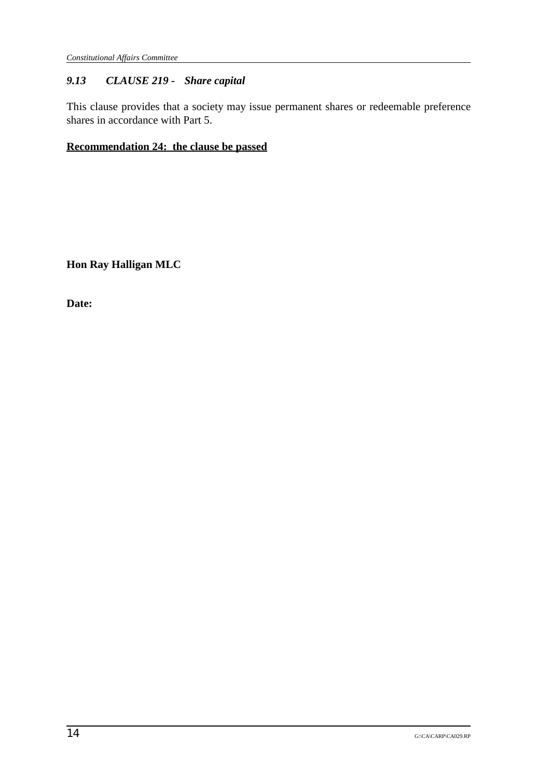## *9.13 CLAUSE 219 - Share capital*

This clause provides that a society may issue permanent shares or redeemable preference shares in accordance with Part 5.

## **Recommendation 24: the clause be passed**

**Hon Ray Halligan MLC**

**Date:**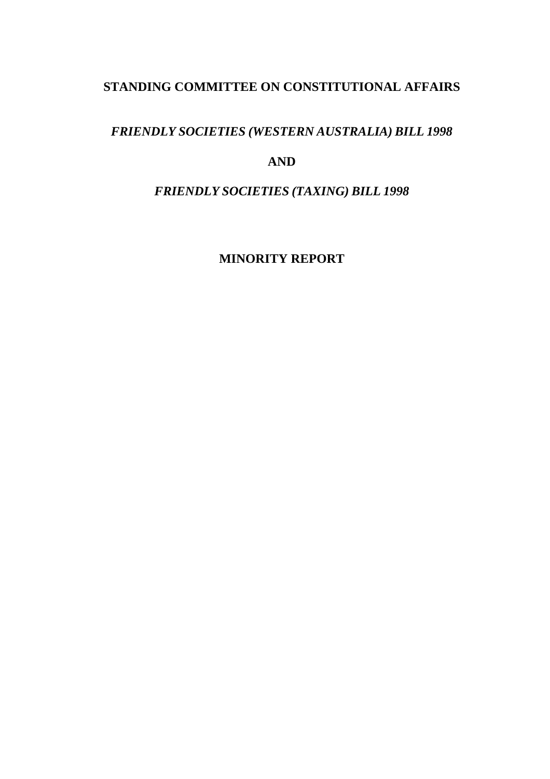## *FRIENDLY SOCIETIES (WESTERN AUSTRALIA) BILL 1998*

## **AND**

## *FRIENDLY SOCIETIES (TAXING) BILL 1998*

**MINORITY REPORT**